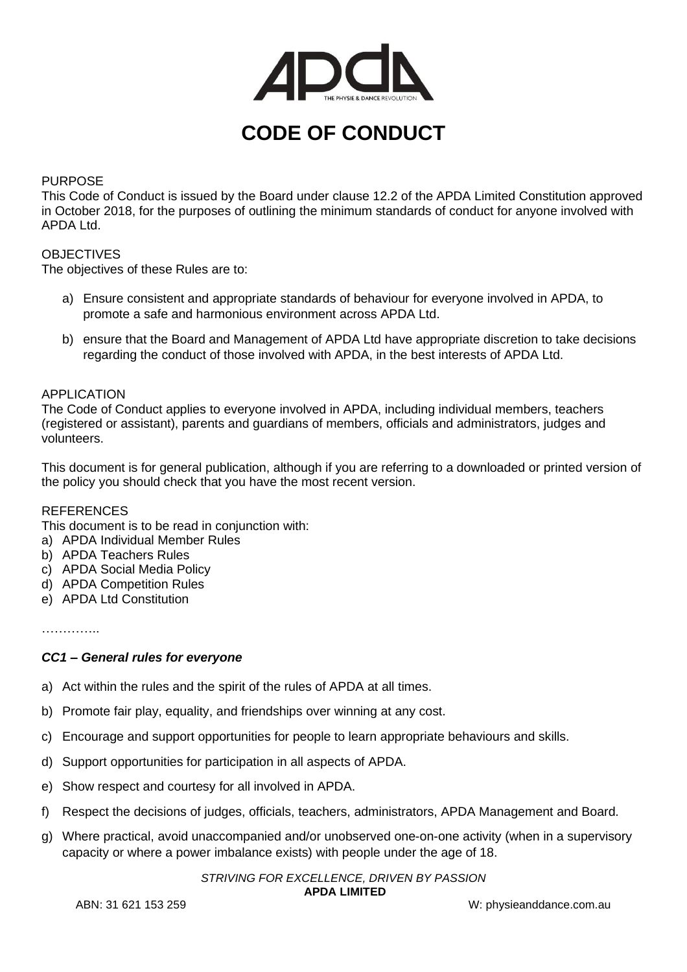

# **CODE OF CONDUCT**

# PURPOSE

This Code of Conduct is issued by the Board under clause 12.2 of the APDA Limited Constitution approved in October 2018, for the purposes of outlining the minimum standards of conduct for anyone involved with APDA Ltd.

# **OBJECTIVES**

The objectives of these Rules are to:

- a) Ensure consistent and appropriate standards of behaviour for everyone involved in APDA, to promote a safe and harmonious environment across APDA Ltd.
- b) ensure that the Board and Management of APDA Ltd have appropriate discretion to take decisions regarding the conduct of those involved with APDA, in the best interests of APDA Ltd.

# APPLICATION

The Code of Conduct applies to everyone involved in APDA, including individual members, teachers (registered or assistant), parents and guardians of members, officials and administrators, judges and volunteers.

This document is for general publication, although if you are referring to a downloaded or printed version of the policy you should check that you have the most recent version.

# **REFERENCES**

This document is to be read in conjunction with:

- a) APDA Individual Member Rules
- b) APDA Teachers Rules
- c) APDA Social Media Policy
- d) APDA Competition Rules
- e) APDA Ltd Constitution

………………

# *CC1 – General rules for everyone*

- a) Act within the rules and the spirit of the rules of APDA at all times.
- b) Promote fair play, equality, and friendships over winning at any cost.
- c) Encourage and support opportunities for people to learn appropriate behaviours and skills.
- d) Support opportunities for participation in all aspects of APDA.
- e) Show respect and courtesy for all involved in APDA.
- f) Respect the decisions of judges, officials, teachers, administrators, APDA Management and Board.
- g) Where practical, avoid unaccompanied and/or unobserved one-on-one activity (when in a supervisory capacity or where a power imbalance exists) with people under the age of 18.

*STRIVING FOR EXCELLENCE, DRIVEN BY PASSION*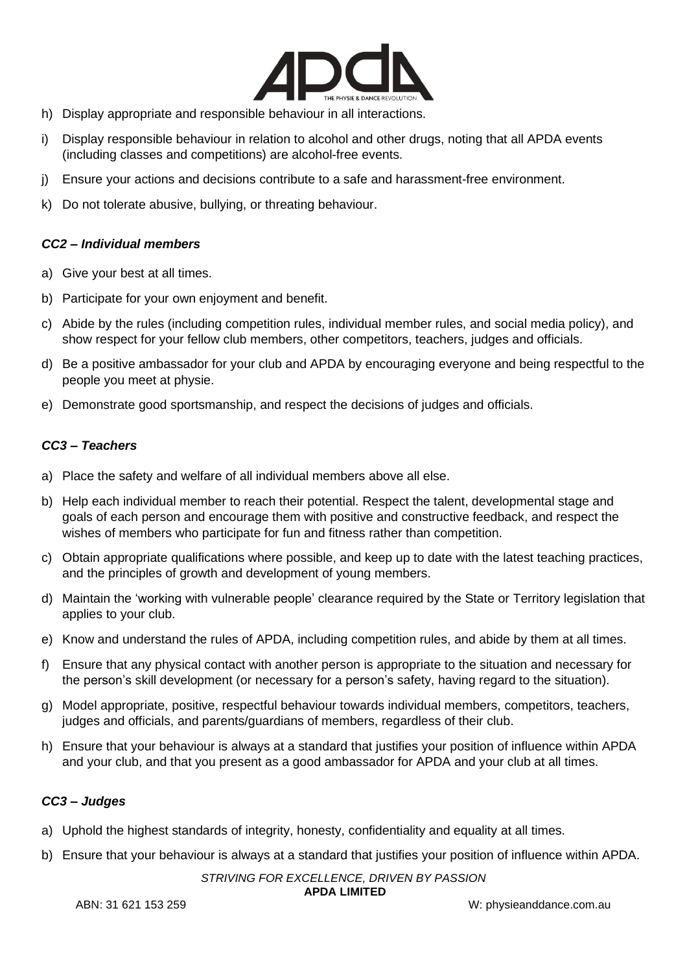

- h) Display appropriate and responsible behaviour in all interactions.
- i) Display responsible behaviour in relation to alcohol and other drugs, noting that all APDA events (including classes and competitions) are alcohol-free events.
- j) Ensure your actions and decisions contribute to a safe and harassment-free environment.
- k) Do not tolerate abusive, bullying, or threating behaviour.

# *CC2 – Individual members*

- a) Give your best at all times.
- b) Participate for your own enjoyment and benefit.
- c) Abide by the rules (including competition rules, individual member rules, and social media policy), and show respect for your fellow club members, other competitors, teachers, judges and officials.
- d) Be a positive ambassador for your club and APDA by encouraging everyone and being respectful to the people you meet at physie.
- e) Demonstrate good sportsmanship, and respect the decisions of judges and officials.

# *CC3 – Teachers*

- a) Place the safety and welfare of all individual members above all else.
- b) Help each individual member to reach their potential. Respect the talent, developmental stage and goals of each person and encourage them with positive and constructive feedback, and respect the wishes of members who participate for fun and fitness rather than competition.
- c) Obtain appropriate qualifications where possible, and keep up to date with the latest teaching practices, and the principles of growth and development of young members.
- d) Maintain the 'working with vulnerable people' clearance required by the State or Territory legislation that applies to your club.
- e) Know and understand the rules of APDA, including competition rules, and abide by them at all times.
- f) Ensure that any physical contact with another person is appropriate to the situation and necessary for the person's skill development (or necessary for a person's safety, having regard to the situation).
- g) Model appropriate, positive, respectful behaviour towards individual members, competitors, teachers, judges and officials, and parents/guardians of members, regardless of their club.
- h) Ensure that your behaviour is always at a standard that justifies your position of influence within APDA and your club, and that you present as a good ambassador for APDA and your club at all times.

# *CC3 – Judges*

- a) Uphold the highest standards of integrity, honesty, confidentiality and equality at all times.
- b) Ensure that your behaviour is always at a standard that justifies your position of influence within APDA.

#### *STRIVING FOR EXCELLENCE, DRIVEN BY PASSION*

**APDA LIMITED**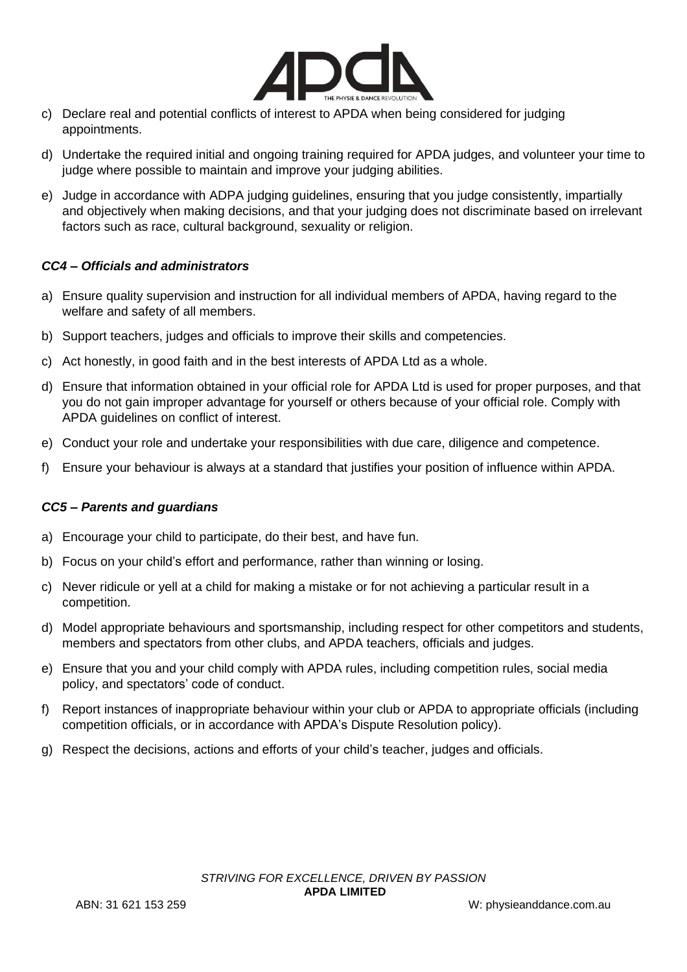

- c) Declare real and potential conflicts of interest to APDA when being considered for judging appointments.
- d) Undertake the required initial and ongoing training required for APDA judges, and volunteer your time to judge where possible to maintain and improve your judging abilities.
- e) Judge in accordance with ADPA judging guidelines, ensuring that you judge consistently, impartially and objectively when making decisions, and that your judging does not discriminate based on irrelevant factors such as race, cultural background, sexuality or religion.

# *CC4 – Officials and administrators*

- a) Ensure quality supervision and instruction for all individual members of APDA, having regard to the welfare and safety of all members.
- b) Support teachers, judges and officials to improve their skills and competencies.
- c) Act honestly, in good faith and in the best interests of APDA Ltd as a whole.
- d) Ensure that information obtained in your official role for APDA Ltd is used for proper purposes, and that you do not gain improper advantage for yourself or others because of your official role. Comply with APDA guidelines on conflict of interest.
- e) Conduct your role and undertake your responsibilities with due care, diligence and competence.
- f) Ensure your behaviour is always at a standard that justifies your position of influence within APDA.

# *CC5 – Parents and guardians*

- a) Encourage your child to participate, do their best, and have fun.
- b) Focus on your child's effort and performance, rather than winning or losing.
- c) Never ridicule or yell at a child for making a mistake or for not achieving a particular result in a competition.
- d) Model appropriate behaviours and sportsmanship, including respect for other competitors and students, members and spectators from other clubs, and APDA teachers, officials and judges.
- e) Ensure that you and your child comply with APDA rules, including competition rules, social media policy, and spectators' code of conduct.
- f) Report instances of inappropriate behaviour within your club or APDA to appropriate officials (including competition officials, or in accordance with APDA's Dispute Resolution policy).
- g) Respect the decisions, actions and efforts of your child's teacher, judges and officials.